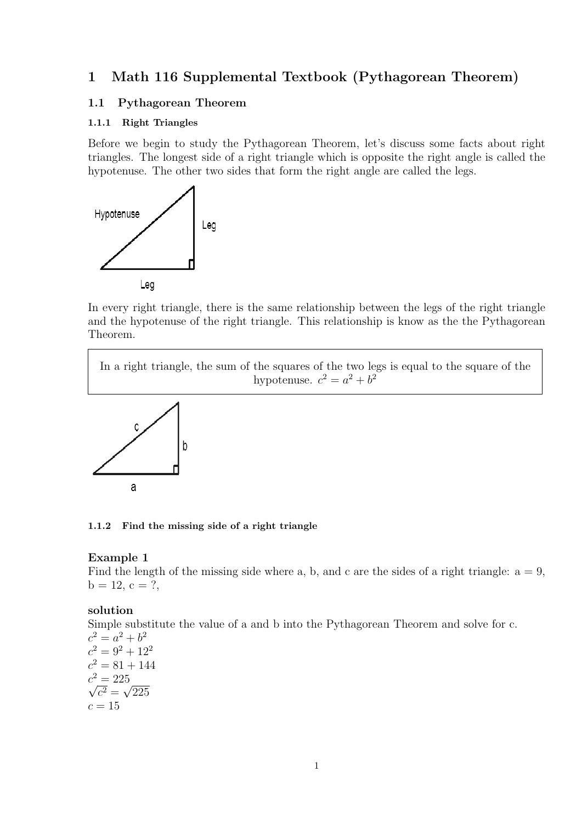# **1 Math 116 Supplemental Textbook (Pythagorean Theorem)**

#### **1.1 Pythagorean Theorem**

#### **1.1.1 Right Triangles**

Before we begin to study the Pythagorean Theorem, let's discuss some facts about right triangles. The longest side of a right triangle which is opposite the right angle is called the hypotenuse. The other two sides that form the right angle are called the legs.



In every right triangle, there is the same relationship between the legs of the right triangle and the hypotenuse of the right triangle. This relationship is know as the the Pythagorean Theorem.

In a right triangle, the sum of the squares of the two legs is equal to the square of the hypotenuse.  $c^2 = a^2 + b^2$ 



#### **1.1.2 Find the missing side of a right triangle**

#### **Example 1**

Find the length of the missing side where a, b, and c are the sides of a right triangle:  $a = 9$ ,  $b = 12, c = ?$ 

#### **solution**

Simple substitute the value of a and b into the Pythagorean Theorem and solve for c.

 $c^2 = a^2 + b^2$  $c^2 = 9^2 + 12^2$  $c^2 = 81 + 144$  $c^2 = 225$  $\sqrt{c^2} = \sqrt{225}$  $c = 15$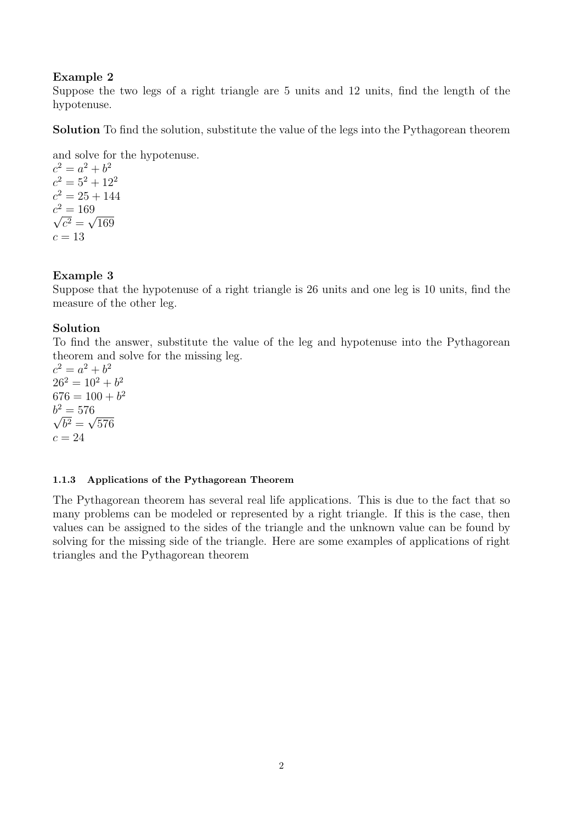### **Example 2**

Suppose the two legs of a right triangle are 5 units and 12 units, find the length of the hypotenuse.

**Solution** To find the solution, substitute the value of the legs into the Pythagorean theorem

and solve for the hypotenuse.

 $c^2 = a^2 + b^2$  $c^2 = 5^2 + 12^2$  $c^2 = 25 + 144$  $c^2 = 169$  $\sqrt{c^2} = \sqrt{169}$  $c = 13$ 

### **Example 3**

Suppose that the hypotenuse of a right triangle is 26 units and one leg is 10 units, find the measure of the other leg.

### **Solution**

To find the answer, substitute the value of the leg and hypotenuse into the Pythagorean theorem and solve for the missing leg.

 $c^2 = a^2 + b^2$  $26^2 = 10^2 + b^2$  $676 = 100 + b^2$  $b^2 = 576$  $\sqrt{b^2} = \sqrt{576}$  $c = 24$ 

#### **1.1.3 Applications of the Pythagorean Theorem**

The Pythagorean theorem has several real life applications. This is due to the fact that so many problems can be modeled or represented by a right triangle. If this is the case, then values can be assigned to the sides of the triangle and the unknown value can be found by solving for the missing side of the triangle. Here are some examples of applications of right triangles and the Pythagorean theorem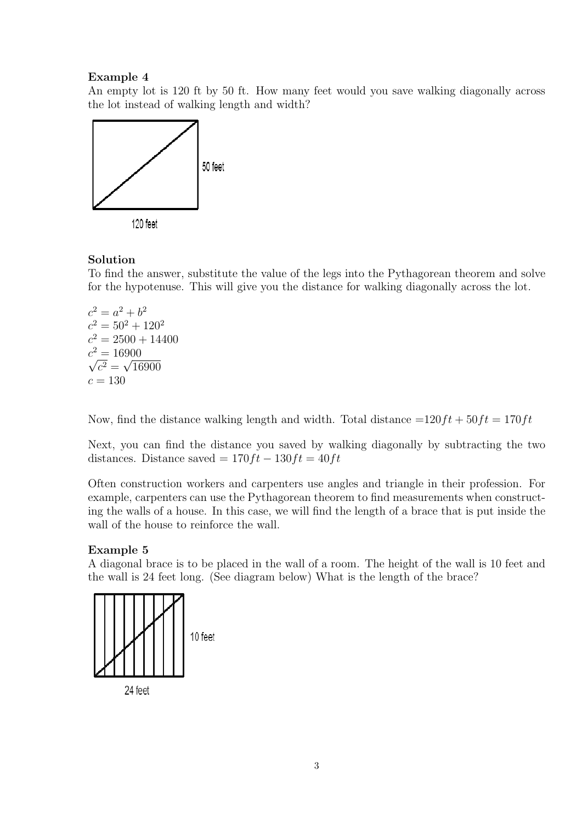### **Example 4**

An empty lot is 120 ft by 50 ft. How many feet would you save walking diagonally across the lot instead of walking length and width?





#### **Solution**

To find the answer, substitute the value of the legs into the Pythagorean theorem and solve for the hypotenuse. This will give you the distance for walking diagonally across the lot.

 $c^2 = a^2 + b^2$  $c^2 = 50^2 + 120^2$  $c^2 = 2500 + 14400$  $c^2 = 16900$  $\sqrt{c^2} = \sqrt{16900}$  $c = 130$ 

Now, find the distance walking length and width. Total distance  $=120ft + 50ft = 170ft$ 

Next, you can find the distance you saved by walking diagonally by subtracting the two distances. Distance saved =  $170ft - 130ft = 40ft$ 

Often construction workers and carpenters use angles and triangle in their profession. For example, carpenters can use the Pythagorean theorem to find measurements when constructing the walls of a house. In this case, we will find the length of a brace that is put inside the wall of the house to reinforce the wall.

### **Example 5**

A diagonal brace is to be placed in the wall of a room. The height of the wall is 10 feet and the wall is 24 feet long. (See diagram below) What is the length of the brace?



24 feet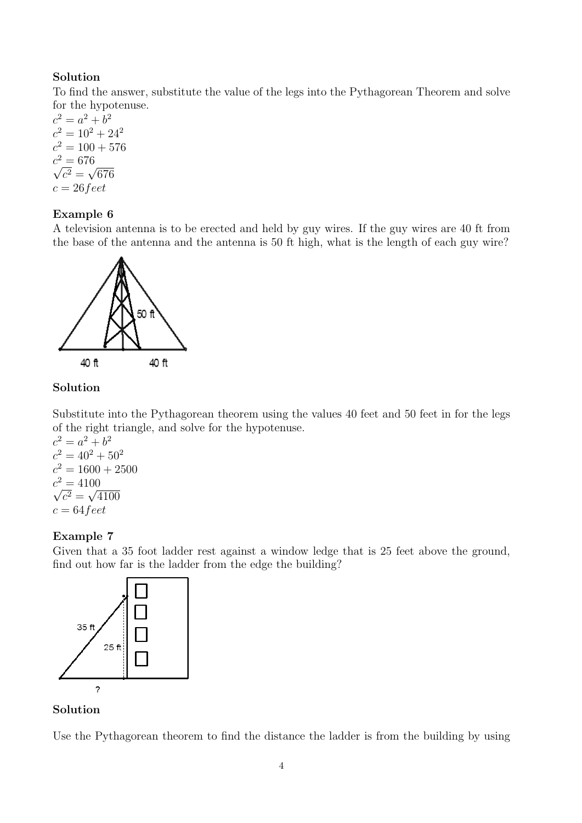## **Solution**

To find the answer, substitute the value of the legs into the Pythagorean Theorem and solve for the hypotenuse.

 $c^2 = a^2 + b^2$  $c^2 = 10^2 + 24^2$  $c^2 = 100 + 576$  $c^2 = 676$  $\sqrt{c^2} = \sqrt{676}$ *c* = 26*feet*

### **Example 6**

A television antenna is to be erected and held by guy wires. If the guy wires are 40 ft from the base of the antenna and the antenna is 50 ft high, what is the length of each guy wire?



## **Solution**

Substitute into the Pythagorean theorem using the values 40 feet and 50 feet in for the legs of the right triangle, and solve for the hypotenuse.

 $c^2 = a^2 + b^2$  $c^2 = 40^2 + 50^2$  $c^2 = 1600 + 2500$  $c^2 = 4100$  $\sqrt{c^2} = \sqrt{4100}$ *c* = 64*feet*

### **Example 7**

Given that a 35 foot ladder rest against a window ledge that is 25 feet above the ground, find out how far is the ladder from the edge the building?



### **Solution**

Use the Pythagorean theorem to find the distance the ladder is from the building by using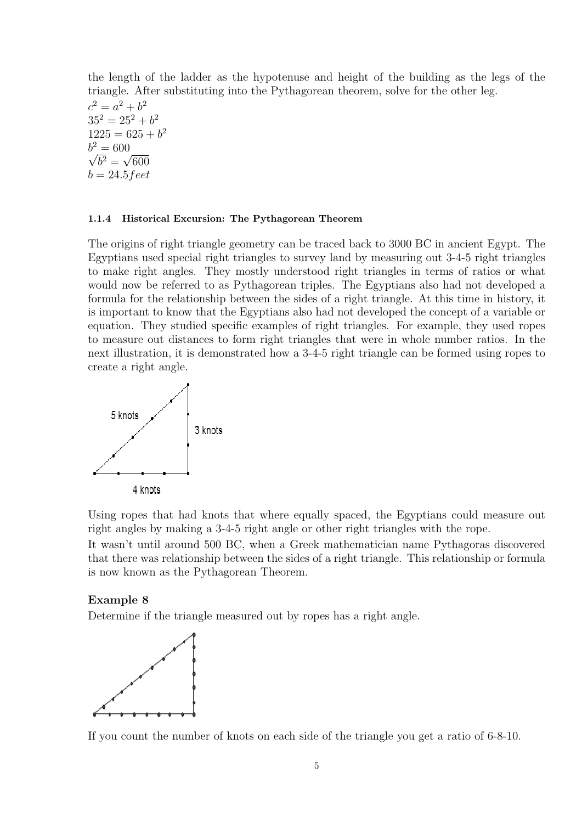the length of the ladder as the hypotenuse and height of the building as the legs of the triangle. After substituting into the Pythagorean theorem, solve for the other leg.

 $c^2 = a^2 + b^2$  $35^2 = 25^2 + b^2$  $1225 = 625 + b^2$  $b^2 = 600$  $\sqrt{b^2} = \sqrt{600}$ *b* = 24*.*5*feet*

#### **1.1.4 Historical Excursion: The Pythagorean Theorem**

The origins of right triangle geometry can be traced back to 3000 BC in ancient Egypt. The Egyptians used special right triangles to survey land by measuring out 3-4-5 right triangles to make right angles. They mostly understood right triangles in terms of ratios or what would now be referred to as Pythagorean triples. The Egyptians also had not developed a formula for the relationship between the sides of a right triangle. At this time in history, it is important to know that the Egyptians also had not developed the concept of a variable or equation. They studied specific examples of right triangles. For example, they used ropes to measure out distances to form right triangles that were in whole number ratios. In the next illustration, it is demonstrated how a 3-4-5 right triangle can be formed using ropes to create a right angle.



Using ropes that had knots that where equally spaced, the Egyptians could measure out right angles by making a 3-4-5 right angle or other right triangles with the rope.

It wasn't until around 500 BC, when a Greek mathematician name Pythagoras discovered that there was relationship between the sides of a right triangle. This relationship or formula is now known as the Pythagorean Theorem.

#### **Example 8**

Determine if the triangle measured out by ropes has a right angle.



If you count the number of knots on each side of the triangle you get a ratio of 6-8-10.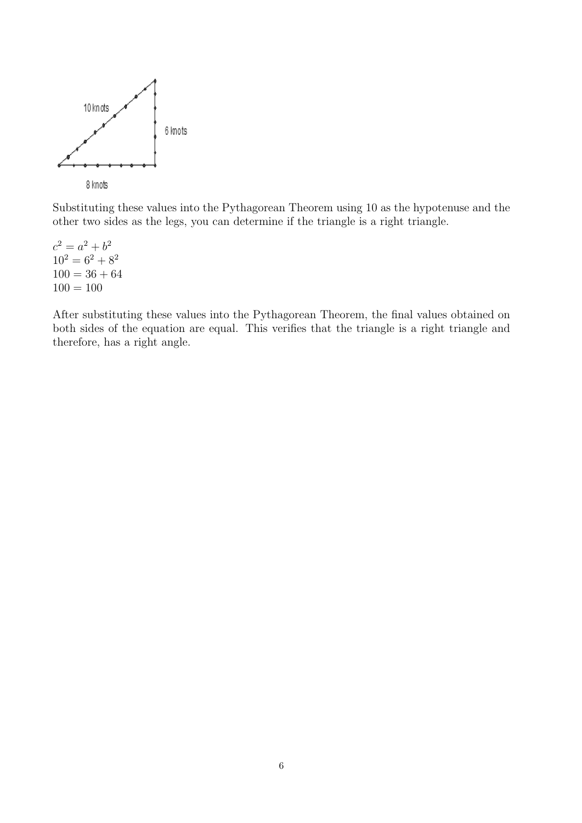

Substituting these values into the Pythagorean Theorem using 10 as the hypotenuse and the other two sides as the legs, you can determine if the triangle is a right triangle.

 $c^2 = a^2 + b^2$  $10^2 = 6^2 + 8^2$  $100 = 36 + 64$  $100 = 100$ 

After substituting these values into the Pythagorean Theorem, the final values obtained on both sides of the equation are equal. This verifies that the triangle is a right triangle and therefore, has a right angle.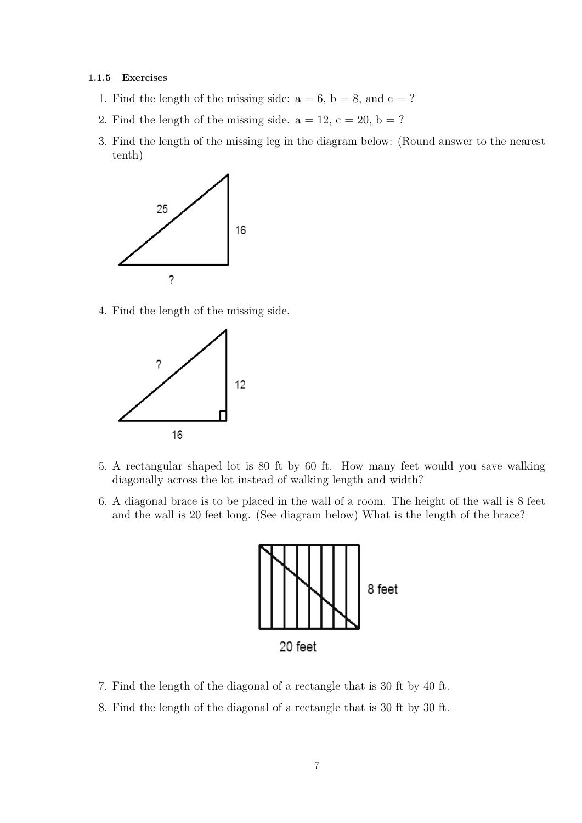#### **1.1.5 Exercises**

- 1. Find the length of the missing side:  $a = 6$ ,  $b = 8$ , and  $c = ?$
- 2. Find the length of the missing side.  $a = 12$ ,  $c = 20$ ,  $b = ?$
- 3. Find the length of the missing leg in the diagram below: (Round answer to the nearest tenth)



4. Find the length of the missing side.



- 5. A rectangular shaped lot is 80 ft by 60 ft. How many feet would you save walking diagonally across the lot instead of walking length and width?
- 6. A diagonal brace is to be placed in the wall of a room. The height of the wall is 8 feet and the wall is 20 feet long. (See diagram below) What is the length of the brace?



- 7. Find the length of the diagonal of a rectangle that is 30 ft by 40 ft.
- 8. Find the length of the diagonal of a rectangle that is 30 ft by 30 ft.